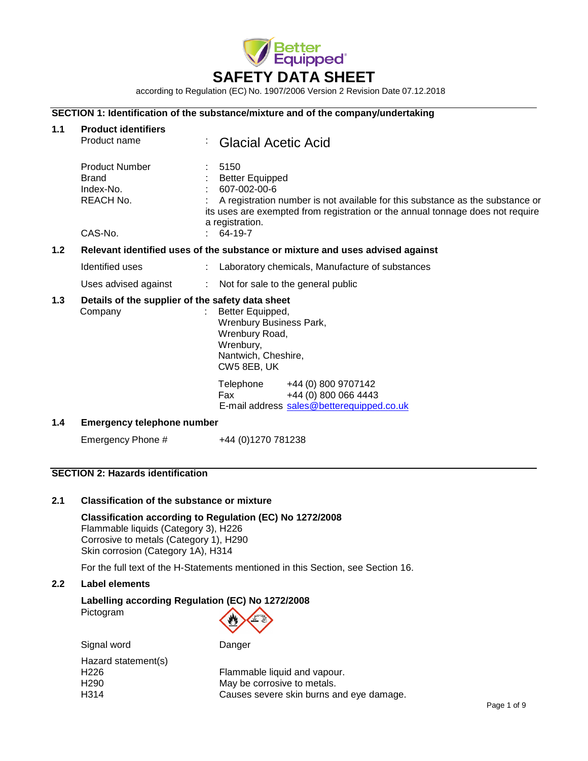

according to Regulation (EC) No. 1907/2006 Version 2 Revision Date 07.12.2018

# **SECTION 1: Identification of the substance/mixture and of the company/undertaking**

| 1.1 | <b>Product identifiers</b><br>Product name                                        | <b>Glacial Acetic Acid</b><br>÷                                                                                                                                                                                                                 |  |  |
|-----|-----------------------------------------------------------------------------------|-------------------------------------------------------------------------------------------------------------------------------------------------------------------------------------------------------------------------------------------------|--|--|
|     | <b>Product Number</b><br><b>Brand</b><br>Index-No.<br><b>REACH No.</b><br>CAS-No. | 5150<br><b>Better Equipped</b><br>607-002-00-6<br>A registration number is not available for this substance as the substance or<br>its uses are exempted from registration or the annual tonnage does not require<br>a registration.<br>64-19-7 |  |  |
| 1.2 | Relevant identified uses of the substance or mixture and uses advised against     |                                                                                                                                                                                                                                                 |  |  |
|     | Identified uses                                                                   | Laboratory chemicals, Manufacture of substances<br>÷                                                                                                                                                                                            |  |  |
|     | Uses advised against                                                              | Not for sale to the general public<br>÷                                                                                                                                                                                                         |  |  |
| 1.3 | Details of the supplier of the safety data sheet<br>Company                       | Better Equipped,<br><b>Wrenbury Business Park,</b><br>Wrenbury Road,<br>Wrenbury,<br>Nantwich, Cheshire,<br>CW5 8EB, UK                                                                                                                         |  |  |
|     |                                                                                   | Telephone<br>+44 (0) 800 9707142<br>+44 (0) 800 066 4443<br>Fax<br>E-mail address sales@betterequipped.co.uk                                                                                                                                    |  |  |
| 1.4 | <b>Emergency telephone number</b>                                                 |                                                                                                                                                                                                                                                 |  |  |
|     | Emergency Phone #                                                                 | +44 (0)1270 781238                                                                                                                                                                                                                              |  |  |
|     | <b>SECTION 2: Hazards identification</b>                                          |                                                                                                                                                                                                                                                 |  |  |

#### **2.1 Classification of the substance or mixture**

**Classification according to Regulation (EC) No 1272/2008** Flammable liquids (Category 3), H226 Corrosive to metals (Category 1), H290 Skin corrosion (Category 1A), H314

For the full text of the H-Statements mentioned in this Section, see Section 16.

## **2.2 Label elements**

# **Labelling according Regulation (EC) No 1272/2008** Pictogram

| Signal word         | Danger                                   |
|---------------------|------------------------------------------|
| Hazard statement(s) |                                          |
| H <sub>226</sub>    | Flammable liquid and vapour.             |
| H <sub>290</sub>    | May be corrosive to metals.              |
| H314                | Causes severe skin burns and eye damage. |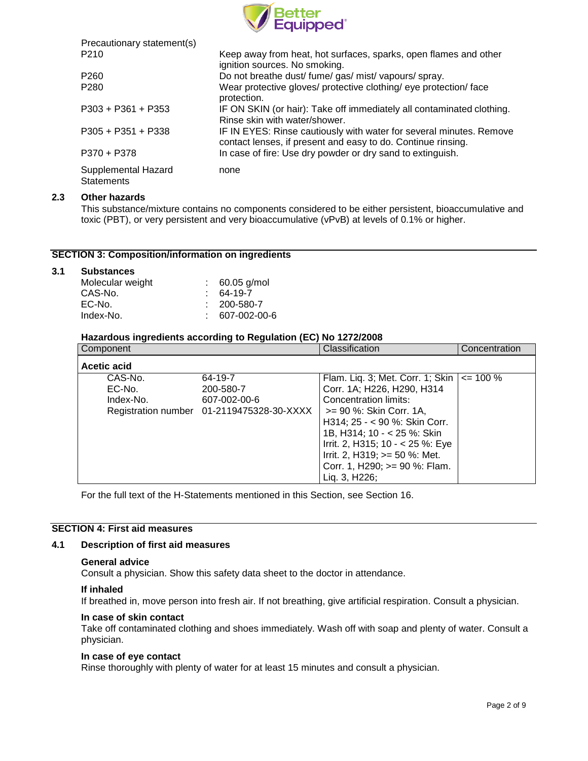

| Precautionary statement(s)               |                                                                                                                                     |
|------------------------------------------|-------------------------------------------------------------------------------------------------------------------------------------|
| P <sub>210</sub>                         | Keep away from heat, hot surfaces, sparks, open flames and other<br>ignition sources. No smoking.                                   |
| P <sub>260</sub>                         | Do not breathe dust/ fume/ gas/ mist/ vapours/ spray.                                                                               |
| P <sub>280</sub>                         | Wear protective gloves/ protective clothing/ eye protection/ face<br>protection.                                                    |
| $P303 + P361 + P353$                     | IF ON SKIN (or hair): Take off immediately all contaminated clothing.<br>Rinse skin with water/shower.                              |
| $P305 + P351 + P338$                     | IF IN EYES: Rinse cautiously with water for several minutes. Remove<br>contact lenses, if present and easy to do. Continue rinsing. |
| P370 + P378                              | In case of fire: Use dry powder or dry sand to extinguish.                                                                          |
| Supplemental Hazard<br><b>Statements</b> | none                                                                                                                                |

## **2.3 Other hazards**

This substance/mixture contains no components considered to be either persistent, bioaccumulative and toxic (PBT), or very persistent and very bioaccumulative (vPvB) at levels of 0.1% or higher.

# **SECTION 3: Composition/information on ingredients**

### **3.1 Substances**

| Molecular weight | 60.05 g/mol       |
|------------------|-------------------|
| CAS-No.          | $: 64-19-7$       |
| EC-No.           | $: 200 - 580 - 7$ |
| Index-No.        | 607-002-00-6      |

#### **Hazardous ingredients according to Regulation (EC) No 1272/2008**

| Component          |                                                           | Classification                                                   | Concentration |
|--------------------|-----------------------------------------------------------|------------------------------------------------------------------|---------------|
| <b>Acetic acid</b> |                                                           |                                                                  |               |
| CAS-No.<br>EC-No.  | 64-19-7<br>200-580-7                                      | Flam. Liq. 3; Met. Corr. 1; Skin  <br>Corr. 1A; H226, H290, H314 | $\leq$ 100 %  |
| Index-No.          | 607-002-00-6<br>Registration number 01-2119475328-30-XXXX | Concentration limits:<br>>= 90 %: Skin Corr. 1A,                 |               |
|                    |                                                           | H314; 25 - < 90 %: Skin Corr.                                    |               |
|                    |                                                           | 1B, H314; 10 - < 25 %: Skin<br>Irrit. 2, H315; 10 - < 25 %: Eye  |               |
|                    |                                                           | Irrit. 2, H319; $>=$ 50 %: Met.                                  |               |
|                    |                                                           | Corr. 1, H290; >= 90 %: Flam.<br>Liq. 3, H226;                   |               |

For the full text of the H-Statements mentioned in this Section, see Section 16.

# **SECTION 4: First aid measures**

#### **4.1 Description of first aid measures**

#### **General advice**

Consult a physician. Show this safety data sheet to the doctor in attendance.

#### **If inhaled**

If breathed in, move person into fresh air. If not breathing, give artificial respiration. Consult a physician.

#### **In case of skin contact**

Take off contaminated clothing and shoes immediately. Wash off with soap and plenty of water. Consult a physician.

### **In case of eye contact**

Rinse thoroughly with plenty of water for at least 15 minutes and consult a physician.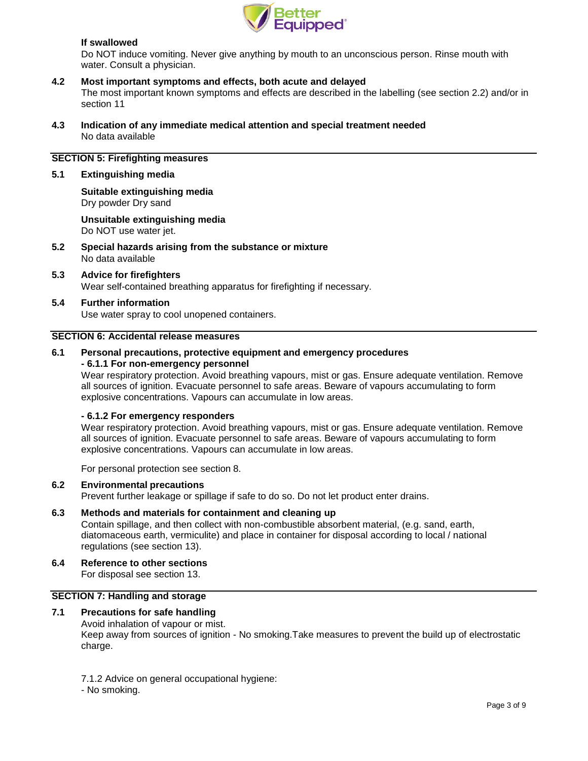

# **If swallowed**

Do NOT induce vomiting. Never give anything by mouth to an unconscious person. Rinse mouth with water. Consult a physician.

# **4.2 Most important symptoms and effects, both acute and delayed**

The most important known symptoms and effects are described in the labelling (see section 2.2) and/or in section 11

**4.3 Indication of any immediate medical attention and special treatment needed** No data available

# **SECTION 5: Firefighting measures**

### **5.1 Extinguishing media**

# **Suitable extinguishing media** Dry powder Dry sand

**Unsuitable extinguishing media** Do NOT use water jet.

- **5.2 Special hazards arising from the substance or mixture** No data available
- **5.3 Advice for firefighters** Wear self-contained breathing apparatus for firefighting if necessary.
- **5.4 Further information** Use water spray to cool unopened containers.

#### **SECTION 6: Accidental release measures**

# **6.1 Personal precautions, protective equipment and emergency procedures - 6.1.1 For non-emergency personnel**

Wear respiratory protection. Avoid breathing vapours, mist or gas. Ensure adequate ventilation. Remove all sources of ignition. Evacuate personnel to safe areas. Beware of vapours accumulating to form explosive concentrations. Vapours can accumulate in low areas.

## **- 6.1.2 For emergency responders**

Wear respiratory protection. Avoid breathing vapours, mist or gas. Ensure adequate ventilation. Remove all sources of ignition. Evacuate personnel to safe areas. Beware of vapours accumulating to form explosive concentrations. Vapours can accumulate in low areas.

For personal protection see section 8.

### **6.2 Environmental precautions**

Prevent further leakage or spillage if safe to do so. Do not let product enter drains.

# **6.3 Methods and materials for containment and cleaning up**

Contain spillage, and then collect with non-combustible absorbent material, (e.g. sand, earth, diatomaceous earth, vermiculite) and place in container for disposal according to local / national regulations (see section 13).

#### **6.4 Reference to other sections**

For disposal see section 13.

## **SECTION 7: Handling and storage**

# **7.1 Precautions for safe handling**

Avoid inhalation of vapour or mist. Keep away from sources of ignition - No smoking.Take measures to prevent the build up of electrostatic charge.

7.1.2 Advice on general occupational hygiene:

<sup>-</sup> No smoking.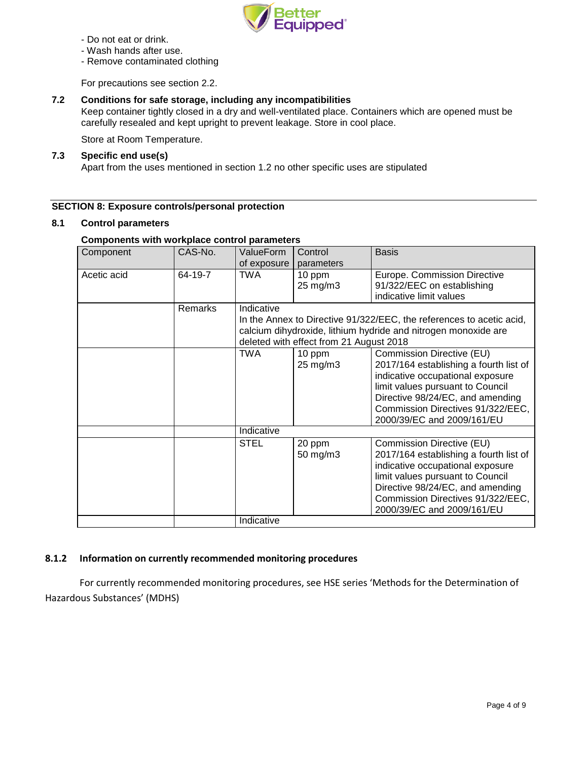

- Do not eat or drink.
- Wash hands after use.
- Remove contaminated clothing

For precautions see section 2.2.

# **7.2 Conditions for safe storage, including any incompatibilities**

Keep container tightly closed in a dry and well-ventilated place. Containers which are opened must be carefully resealed and kept upright to prevent leakage. Store in cool place.

Store at Room Temperature.

# **7.3 Specific end use(s)**

Apart from the uses mentioned in section 1.2 no other specific uses are stipulated

## **SECTION 8: Exposure controls/personal protection**

## **8.1 Control parameters**

## **Components with workplace control parameters**

| Component   | CAS-No. | ValueForm   | Control                                 | <b>Basis</b>                                                         |
|-------------|---------|-------------|-----------------------------------------|----------------------------------------------------------------------|
|             |         | of exposure | parameters                              |                                                                      |
| Acetic acid | 64-19-7 | TWA         | 10 ppm                                  | Europe. Commission Directive                                         |
|             |         |             | 25 mg/m3                                | 91/322/EEC on establishing                                           |
|             |         |             |                                         | indicative limit values                                              |
|             | Remarks | Indicative  |                                         |                                                                      |
|             |         |             |                                         | In the Annex to Directive 91/322/EEC, the references to acetic acid, |
|             |         |             |                                         | calcium dihydroxide, lithium hydride and nitrogen monoxide are       |
|             |         |             | deleted with effect from 21 August 2018 |                                                                      |
|             |         | TWA         | 10 ppm                                  | Commission Directive (EU)                                            |
|             |         |             | 25 mg/m3                                | 2017/164 establishing a fourth list of                               |
|             |         |             |                                         | indicative occupational exposure                                     |
|             |         |             |                                         | limit values pursuant to Council                                     |
|             |         |             |                                         | Directive 98/24/EC, and amending                                     |
|             |         |             |                                         | Commission Directives 91/322/EEC,                                    |
|             |         |             |                                         | 2000/39/EC and 2009/161/EU                                           |
|             |         | Indicative  |                                         |                                                                      |
|             |         | <b>STEL</b> | 20 ppm                                  | Commission Directive (EU)                                            |
|             |         |             | 50 mg/m3                                | 2017/164 establishing a fourth list of                               |
|             |         |             |                                         | indicative occupational exposure                                     |
|             |         |             |                                         | limit values pursuant to Council                                     |
|             |         |             |                                         | Directive 98/24/EC, and amending                                     |
|             |         |             |                                         | Commission Directives 91/322/EEC,                                    |
|             |         |             |                                         | 2000/39/EC and 2009/161/EU                                           |
|             |         | Indicative  |                                         |                                                                      |

# **8.1.2 Information on currently recommended monitoring procedures**

For currently recommended monitoring procedures, see HSE series 'Methods for the Determination of Hazardous Substances' (MDHS)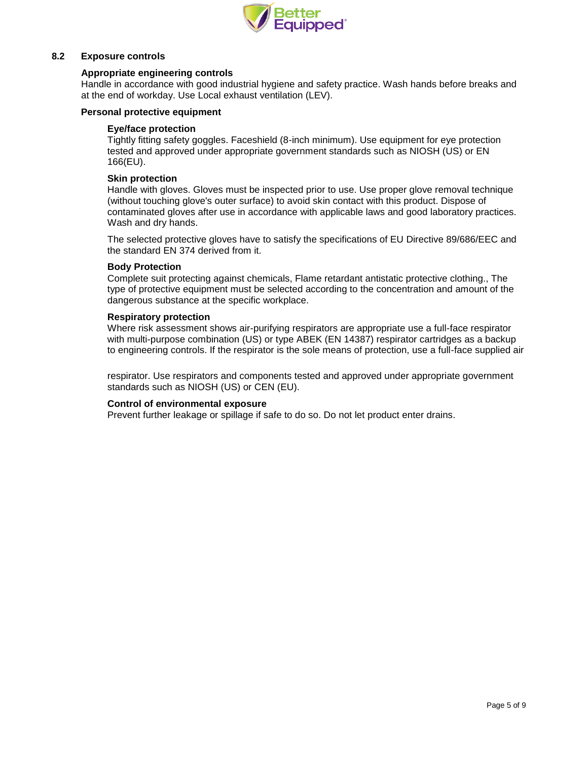

# **8.2 Exposure controls**

## **Appropriate engineering controls**

Handle in accordance with good industrial hygiene and safety practice. Wash hands before breaks and at the end of workday. Use Local exhaust ventilation (LEV).

## **Personal protective equipment**

### **Eye/face protection**

Tightly fitting safety goggles. Faceshield (8-inch minimum). Use equipment for eye protection tested and approved under appropriate government standards such as NIOSH (US) or EN 166(EU).

## **Skin protection**

Handle with gloves. Gloves must be inspected prior to use. Use proper glove removal technique (without touching glove's outer surface) to avoid skin contact with this product. Dispose of contaminated gloves after use in accordance with applicable laws and good laboratory practices. Wash and dry hands.

The selected protective gloves have to satisfy the specifications of EU Directive 89/686/EEC and the standard EN 374 derived from it.

#### **Body Protection**

Complete suit protecting against chemicals, Flame retardant antistatic protective clothing., The type of protective equipment must be selected according to the concentration and amount of the dangerous substance at the specific workplace.

#### **Respiratory protection**

Where risk assessment shows air-purifying respirators are appropriate use a full-face respirator with multi-purpose combination (US) or type ABEK (EN 14387) respirator cartridges as a backup to engineering controls. If the respirator is the sole means of protection, use a full-face supplied air

respirator. Use respirators and components tested and approved under appropriate government standards such as NIOSH (US) or CEN (EU).

#### **Control of environmental exposure**

Prevent further leakage or spillage if safe to do so. Do not let product enter drains.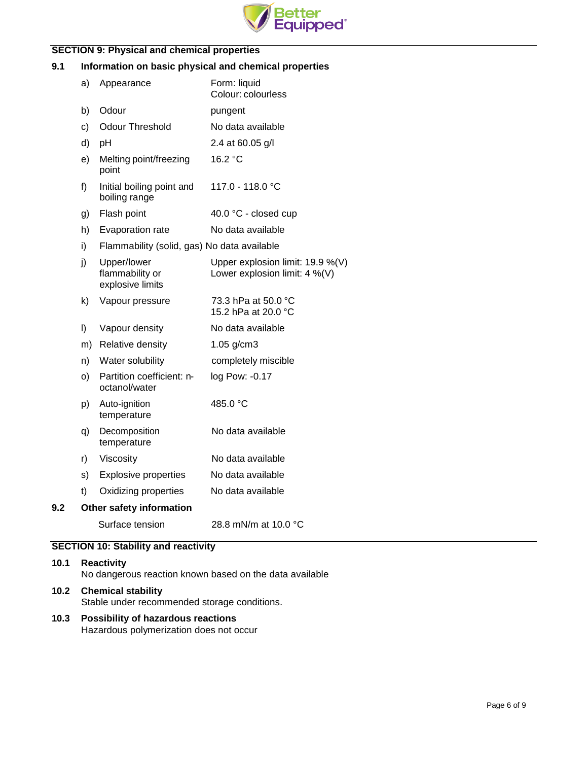

# **SECTION 9: Physical and chemical properties**

# **9.1 Information on basic physical and chemical properties**

|     | a)      | Appearance                                         | Form: liquid<br>Colour: colourless                                   |
|-----|---------|----------------------------------------------------|----------------------------------------------------------------------|
|     | b)      | Odour                                              | pungent                                                              |
|     | c)      | <b>Odour Threshold</b>                             | No data available                                                    |
|     | d)      | pH                                                 | 2.4 at 60.05 g/l                                                     |
|     | e)      | Melting point/freezing<br>point                    | 16.2 °C                                                              |
|     | f)      | Initial boiling point and<br>boiling range         | 117.0 - 118.0 °C                                                     |
|     | g)      | Flash point                                        | 40.0 °C - closed cup                                                 |
|     | h)      | Evaporation rate                                   | No data available                                                    |
|     | i)      | Flammability (solid, gas) No data available        |                                                                      |
|     | j)      | Upper/lower<br>flammability or<br>explosive limits | Upper explosion limit: 19.9 %(V)<br>Lower explosion limit: $4\%$ (V) |
|     | k)      | Vapour pressure                                    | 73.3 hPa at 50.0 °C<br>15.2 hPa at 20.0 °C                           |
|     | $\vert$ | Vapour density                                     | No data available                                                    |
|     | m)      | Relative density                                   | $1.05$ g/cm $3$                                                      |
|     | n)      | Water solubility                                   | completely miscible                                                  |
|     | O)      | Partition coefficient: n-<br>octanol/water         | log Pow: -0.17                                                       |
|     | p)      | Auto-ignition<br>temperature                       | 485.0 °C                                                             |
|     | q)      | Decomposition<br>temperature                       | No data available                                                    |
|     | r)      | Viscosity                                          | No data available                                                    |
|     | s)      | <b>Explosive properties</b>                        | No data available                                                    |
|     | t)      | Oxidizing properties                               | No data available                                                    |
| 9.2 |         | Other safety information                           |                                                                      |
|     |         | Surface tension                                    | 28.8 mN/m at 10.0 °C                                                 |
|     |         |                                                    |                                                                      |

# **SECTION 10: Stability and reactivity**

# **10.1 Reactivity** No dangerous reaction known based on the data available **10.2 Chemical stability** Stable under recommended storage conditions.

# **10.3 Possibility of hazardous reactions**

Hazardous polymerization does not occur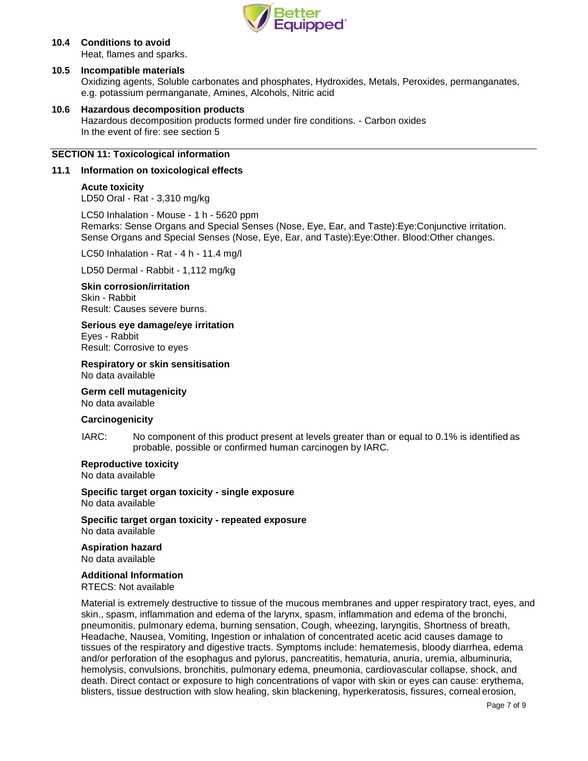

# **10.4 Conditions to avoid**

Heat, flames and sparks.

# **10.5 Incompatible materials**

Oxidizing agents, Soluble carbonates and phosphates, Hydroxides, Metals, Peroxides, permanganates, e.g. potassium permanganate, Amines, Alcohols, Nitric acid

# **10.6 Hazardous decomposition products**

Hazardous decomposition products formed under fire conditions. - Carbon oxides In the event of fire: see section 5

## **SECTION 11: Toxicological information**

## **11.1 Information on toxicological effects**

# **Acute toxicity**

LD50 Oral - Rat - 3,310 mg/kg

LC50 Inhalation - Mouse - 1 h - 5620 ppm Remarks: Sense Organs and Special Senses (Nose, Eye, Ear, and Taste):Eye:Conjunctive irritation. Sense Organs and Special Senses (Nose, Eye, Ear, and Taste):Eye:Other. Blood:Other changes.

LC50 Inhalation - Rat - 4 h - 11.4 mg/l

LD50 Dermal - Rabbit - 1,112 mg/kg

## **Skin corrosion/irritation**

Skin - Rabbit Result: Causes severe burns.

## **Serious eye damage/eye irritation**

Eyes - Rabbit Result: Corrosive to eyes

# **Respiratory or skin sensitisation**

No data available

#### **Germ cell mutagenicity**

No data available

## **Carcinogenicity**

IARC: No component of this product present at levels greater than or equal to 0.1% is identified as probable, possible or confirmed human carcinogen by IARC.

## **Reproductive toxicity**

No data available

**Specific target organ toxicity - single exposure** No data available

**Specific target organ toxicity - repeated exposure** No data available

# **Aspiration hazard**

No data available

#### **Additional Information**

RTECS: Not available

Material is extremely destructive to tissue of the mucous membranes and upper respiratory tract, eyes, and skin., spasm, inflammation and edema of the larynx, spasm, inflammation and edema of the bronchi, pneumonitis, pulmonary edema, burning sensation, Cough, wheezing, laryngitis, Shortness of breath, Headache, Nausea, Vomiting, Ingestion or inhalation of concentrated acetic acid causes damage to tissues of the respiratory and digestive tracts. Symptoms include: hematemesis, bloody diarrhea, edema and/or perforation of the esophagus and pylorus, pancreatitis, hematuria, anuria, uremia, albuminuria, hemolysis, convulsions, bronchitis, pulmonary edema, pneumonia, cardiovascular collapse, shock, and death. Direct contact or exposure to high concentrations of vapor with skin or eyes can cause: erythema, blisters, tissue destruction with slow healing, skin blackening, hyperkeratosis, fissures, corneal erosion,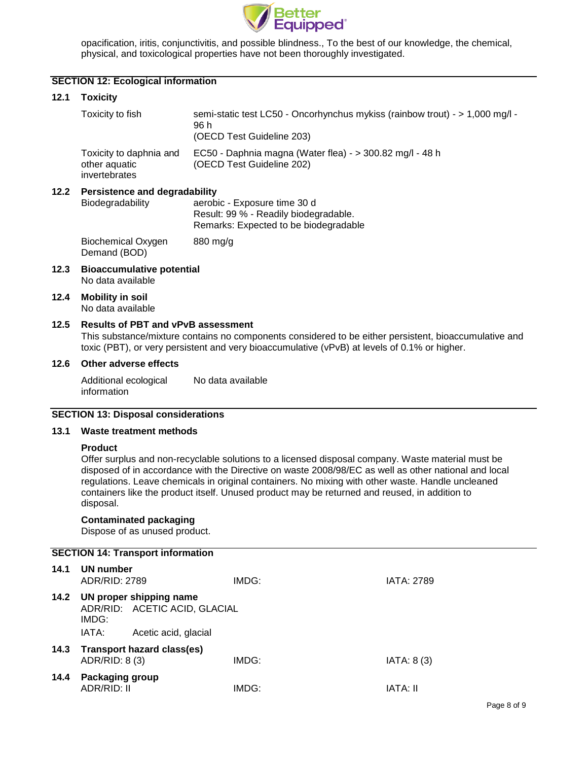

opacification, iritis, conjunctivitis, and possible blindness., To the best of our knowledge, the chemical, physical, and toxicological properties have not been thoroughly investigated.

# **SECTION 12: Ecological information**

# **12.1 Toxicity**

|                                                                                                                                                                                    | Toxicity to fish                                          | semi-static test LC50 - Oncorhynchus mykiss (rainbow trout) - > 1,000 mg/l -<br>96 h<br>(OECD Test Guideline 203) |
|------------------------------------------------------------------------------------------------------------------------------------------------------------------------------------|-----------------------------------------------------------|-------------------------------------------------------------------------------------------------------------------|
|                                                                                                                                                                                    | Toxicity to daphnia and<br>other aquatic<br>invertebrates | EC50 - Daphnia magna (Water flea) - > 300.82 mg/l - 48 h<br>(OECD Test Guideline 202)                             |
| 12.2<br><b>Persistence and degradability</b><br>Biodegradability<br>aerobic - Exposure time 30 d<br>Result: 99 % - Readily biodegradable.<br>Remarks: Expected to be biodegradable |                                                           |                                                                                                                   |

Biochemical Oxygen Demand (BOD) 880 mg/g

- **12.3 Bioaccumulative potential** No data available
- **12.4 Mobility in soil** No data available

## **12.5 Results of PBT and vPvB assessment**

This substance/mixture contains no components considered to be either persistent, bioaccumulative and toxic (PBT), or very persistent and very bioaccumulative (vPvB) at levels of 0.1% or higher.

## **12.6 Other adverse effects**

Additional ecological information No data available

### **SECTION 13: Disposal considerations**

## **13.1 Waste treatment methods**

#### **Product**

Offer surplus and non-recyclable solutions to a licensed disposal company. Waste material must be disposed of in accordance with the Directive on waste 2008/98/EC as well as other national and local regulations. Leave chemicals in original containers. No mixing with other waste. Handle uncleaned containers like the product itself. Unused product may be returned and reused, in addition to disposal.

# **Contaminated packaging**

Dispose of as unused product.

|      | <b>SECTION 14: Transport information</b> |                                                          |       |                   |  |
|------|------------------------------------------|----------------------------------------------------------|-------|-------------------|--|
| 14.1 | UN number<br>ADR/RID: 2789               |                                                          | IMDG: | <b>IATA: 2789</b> |  |
| 14.2 | IMDG:                                    | UN proper shipping name<br>ADR/RID: ACETIC ACID, GLACIAL |       |                   |  |
|      | IATA:                                    | Acetic acid, glacial                                     |       |                   |  |
| 14.3 | ADR/RID: 8 (3)                           | <b>Transport hazard class(es)</b>                        | IMDG: | IATA: 8(3)        |  |
| 14.4 | Packaging group<br><b>ADR/RID: II</b>    |                                                          | IMDG: | IATA: II          |  |